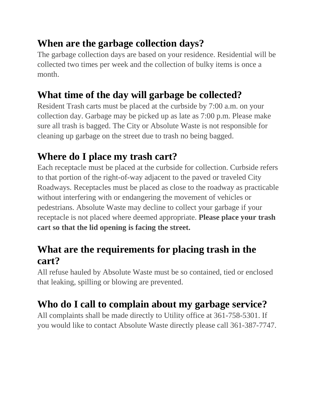## **When are the garbage collection days?**

The garbage collection days are based on your residence. Residential will be collected two times per week and the collection of bulky items is once a month.

## **What time of the day will garbage be collected?**

Resident Trash carts must be placed at the curbside by 7:00 a.m. on your collection day. Garbage may be picked up as late as 7:00 p.m. Please make sure all trash is bagged. The City or Absolute Waste is not responsible for cleaning up garbage on the street due to trash no being bagged.

## **Where do I place my trash cart?**

Each receptacle must be placed at the curbside for collection. Curbside refers to that portion of the right-of-way adjacent to the paved or traveled City Roadways. Receptacles must be placed as close to the roadway as practicable without interfering with or endangering the movement of vehicles or pedestrians. Absolute Waste may decline to collect your garbage if your receptacle is not placed where deemed appropriate. **Please place your trash cart so that the lid opening is facing the street.**

## **What are the requirements for placing trash in the cart?**

All refuse hauled by Absolute Waste must be so contained, tied or enclosed that leaking, spilling or blowing are prevented.

# **Who do I call to complain about my garbage service?**

All complaints shall be made directly to Utility office at 361-758-5301. If you would like to contact Absolute Waste directly please call 361-387-7747.